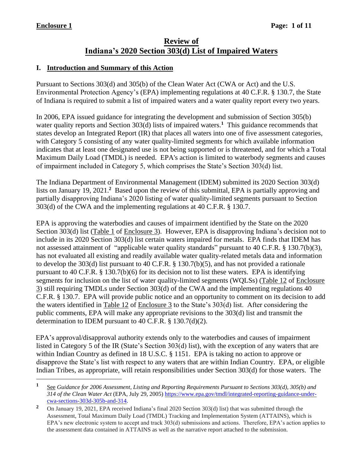# **Review of Indiana's 2020 Section 303(d) List of Impaired Waters**

#### **I. Introduction and Summary of this Action**

Pursuant to Sections 303(d) and 305(b) of the Clean Water Act (CWA or Act) and the U.S. Environmental Protection Agency's (EPA) implementing regulations at 40 C.F.R. § 130.7, the State of Indiana is required to submit a list of impaired waters and a water quality report every two years.

In 2006, EPA issued guidance for integrating the development and submission of Section 305(b) water quality reports and Section 303(d) lists of impaired waters.<sup>1</sup> This guidance recommends that states develop an Integrated Report (IR) that places all waters into one of five assessment categories, with Category 5 consisting of any water quality-limited segments for which available information indicates that at least one designated use is not being supported or is threatened, and for which a Total Maximum Daily Load (TMDL) is needed. EPA's action is limited to waterbody segments and causes of impairment included in Category 5, which comprises the State's Section 303(d) list.

The Indiana Department of Environmental Management (IDEM) submitted its 2020 Section 303(d) lists on January 19, 2021.<sup>2</sup> Based upon the review of this submittal, EPA is partially approving and partially disapproving Indiana's 2020 listing of water quality-limited segments pursuant to Section 303(d) of the CWA and the implementing regulations at 40 C.F.R. § 130.7.

EPA is approving the waterbodies and causes of impairment identified by the State on the 2020 Section 303(d) list (Table 1 of Enclosure 3). However, EPA is disapproving Indiana's decision not to include in its 2020 Section 303(d) list certain waters impaired for metals. EPA finds that IDEM has not assessed attainment of "applicable water quality standards" pursuant to 40 C.F.R. § 130.7(b)(3), has not evaluated all existing and readily available water quality-related metals data and information to develop the 303(d) list pursuant to 40 C.F.R. § 130.7(b)(5), and has not provided a rationale pursuant to 40 C.F.R. § 130.7(b)(6) for its decision not to list these waters. EPA is identifying segments for inclusion on the list of water quality-limited segments (WQLSs) (Table 12 of Enclosure 3) still requiring TMDLs under Section 303(d) of the CWA and the implementing regulations 40 C.F.R. § 130.7. EPA will provide public notice and an opportunity to comment on its decision to add the waters identified in Table 12 of Enclosure 3 to the State's 303(d) list. After considering the public comments, EPA will make any appropriate revisions to the 303(d) list and transmit the determination to IDEM pursuant to 40 C.F.R. § 130.7(d)(2).

EPA's approval/disapproval authority extends only to the waterbodies and causes of impairment listed in Category 5 of the IR (State's Section 303(d) list), with the exception of any waters that are within Indian Country as defined in 18 U.S.C. § 1151. EPA is taking no action to approve or disapprove the State's list with respect to any waters that are within Indian Country. EPA, or eligible Indian Tribes, as appropriate, will retain responsibilities under Section 303(d) for those waters. The

**<sup>1</sup>** See *Guidance for 2006 Assessment, Listing and Reporting Requirements Pursuant to Sections 303(d), 305(b) and 314 of the Clean Water Act* (EPA, July 29, 2005) [https://www.epa.gov/tmdl/integrated-reporting-guidance-under](https://www.epa.gov/tmdl/integrated-reporting-guidance-under-cwa-sections-303d-305b-and-314)[cwa-sections-303d-305b-and-314.](https://www.epa.gov/tmdl/integrated-reporting-guidance-under-cwa-sections-303d-305b-and-314)

**<sup>2</sup>** On January 19, 2021, EPA received Indiana's final 2020 Section 303(d) list) that was submitted through the Assessment, Total Maximum Daily Load (TMDL) Tracking and Implementation System (ATTAINS), which is EPA's new electronic system to accept and track 303(d) submissions and actions. Therefore, EPA's action applies to the assessment data contained in ATTAINS as well as the narrative report attached to the submission.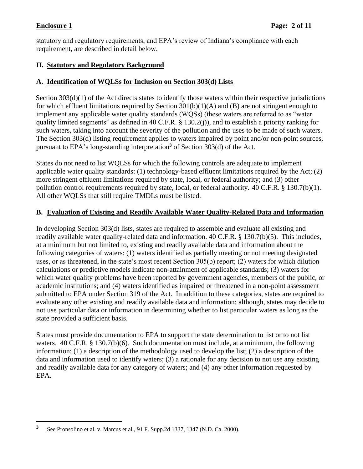statutory and regulatory requirements, and EPA's review of Indiana's compliance with each requirement, are described in detail below.

### **II. Statutory and Regulatory Background**

### **A. Identification of WQLSs for Inclusion on Section 303(d) Lists**

Section 303(d)(1) of the Act directs states to identify those waters within their respective jurisdictions for which effluent limitations required by Section  $301(b)(1)(A)$  and  $(B)$  are not stringent enough to implement any applicable water quality standards (WQSs) (these waters are referred to as "water quality limited segments" as defined in 40 C.F.R. § 130.2(j)), and to establish a priority ranking for such waters, taking into account the severity of the pollution and the uses to be made of such waters. The Section 303(d) listing requirement applies to waters impaired by point and/or non-point sources, pursuant to EPA's long-standing interpretation**<sup>3</sup>** of Section 303(d) of the Act.

States do not need to list WQLSs for which the following controls are adequate to implement applicable water quality standards: (1) technology-based effluent limitations required by the Act; (2) more stringent effluent limitations required by state, local, or federal authority; and (3) other pollution control requirements required by state, local, or federal authority. 40 C.F.R. § 130.7(b)(1). All other WQLSs that still require TMDLs must be listed.

# **B. Evaluation of Existing and Readily Available Water Quality-Related Data and Information**

In developing Section 303(d) lists, states are required to assemble and evaluate all existing and readily available water quality-related data and information. 40 C.F.R. § 130.7(b)(5). This includes, at a minimum but not limited to, existing and readily available data and information about the following categories of waters: (1) waters identified as partially meeting or not meeting designated uses, or as threatened, in the state's most recent Section 305(b) report; (2) waters for which dilution calculations or predictive models indicate non-attainment of applicable standards; (3) waters for which water quality problems have been reported by government agencies, members of the public, or academic institutions; and (4) waters identified as impaired or threatened in a non-point assessment submitted to EPA under Section 319 of the Act. In addition to these categories, states are required to evaluate any other existing and readily available data and information; although, states may decide to not use particular data or information in determining whether to list particular waters as long as the state provided a sufficient basis.

States must provide documentation to EPA to support the state determination to list or to not list waters. 40 C.F.R. § 130.7(b)(6). Such documentation must include, at a minimum, the following information: (1) a description of the methodology used to develop the list; (2) a description of the data and information used to identify waters; (3) a rationale for any decision to not use any existing and readily available data for any category of waters; and (4) any other information requested by EPA.

**<sup>3</sup>** See Pronsolino et al. v. Marcus et al., 91 F. Supp.2d 1337, 1347 (N.D. Ca. 2000).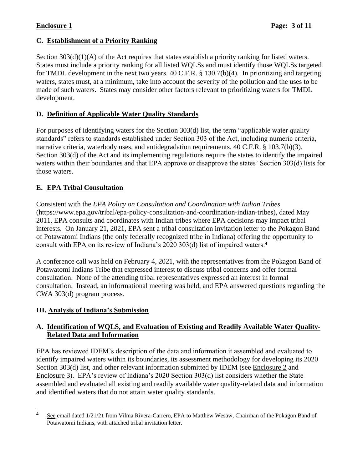## **C. Establishment of a Priority Ranking**

Section  $303(d)(1)(A)$  of the Act requires that states establish a priority ranking for listed waters. States must include a priority ranking for all listed WQLSs and must identify those WQLSs targeted for TMDL development in the next two years. 40 C.F.R. § 130.7(b)(4). In prioritizing and targeting waters, states must, at a minimum, take into account the severity of the pollution and the uses to be made of such waters. States may consider other factors relevant to prioritizing waters for TMDL development.

### **D. Definition of Applicable Water Quality Standards**

For purposes of identifying waters for the Section 303(d) list, the term "applicable water quality standards" refers to standards established under Section 303 of the Act, including numeric criteria, narrative criteria, waterbody uses, and antidegradation requirements. 40 C.F.R. § 103.7(b)(3). Section 303(d) of the Act and its implementing regulations require the states to identify the impaired waters within their boundaries and that EPA approve or disapprove the states' Section 303(d) lists for those waters.

# **E. EPA Tribal Consultation**

Consistent with the *EPA Policy on Consultation and Coordination with Indian Tribes* (https://www.epa.gov/tribal/epa-policy-consultation-and-coordination-indian-tribes), dated May 2011, EPA consults and coordinates with Indian tribes where EPA decisions may impact tribal interests. On January 21, 2021, EPA sent a tribal consultation invitation letter to the Pokagon Band of Potawatomi Indians (the only federally recognized tribe in Indiana) offering the opportunity to consult with EPA on its review of Indiana's 2020 303(d) list of impaired waters.**<sup>4</sup>**

A conference call was held on February 4, 2021, with the representatives from the Pokagon Band of Potawatomi Indians Tribe that expressed interest to discuss tribal concerns and offer formal consultation. None of the attending tribal representatives expressed an interest in formal consultation. Instead, an informational meeting was held, and EPA answered questions regarding the CWA 303(d) program process.

# **III. Analysis of Indiana's Submission**

### **A. Identification of WQLS, and Evaluation of Existing and Readily Available Water Quality-Related Data and Information**

EPA has reviewed IDEM's description of the data and information it assembled and evaluated to identify impaired waters within its boundaries, its assessment methodology for developing its 2020 Section 303(d) list, and other relevant information submitted by IDEM (see Enclosure 2 and Enclosure 3). EPA's review of Indiana's 2020 Section 303(d) list considers whether the State assembled and evaluated all existing and readily available water quality-related data and information and identified waters that do not attain water quality standards.

**<sup>4</sup>** See email dated 1/21/21 from Vilma Rivera-Carrero, EPA to Matthew Wesaw, Chairman of the Pokagon Band of Potawatomi Indians, with attached tribal invitation letter.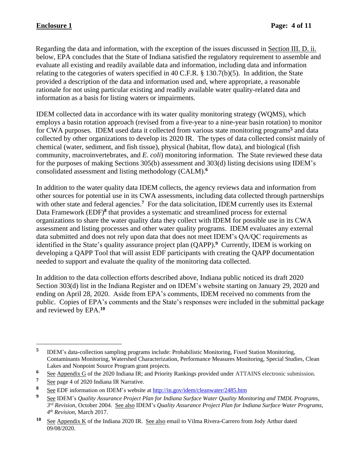Regarding the data and information, with the exception of the issues discussed in Section III. D. ii. below, EPA concludes that the State of Indiana satisfied the regulatory requirement to assemble and evaluate all existing and readily available data and information, including data and information relating to the categories of waters specified in 40 C.F.R. § 130.7(b)(5). In addition, the State provided a description of the data and information used and, where appropriate, a reasonable rationale for not using particular existing and readily available water quality-related data and information as a basis for listing waters or impairments.

IDEM collected data in accordance with its water quality monitoring strategy (WQMS), which employs a basin rotation approach (revised from a five-year to a nine-year basin rotation) to monitor for CWA purposes. IDEM used data it collected from various state monitoring programs**<sup>5</sup>** and data collected by other organizations to develop its 2020 IR. The types of data collected consist mainly of chemical (water, sediment, and fish tissue), physical (habitat, flow data), and biological (fish community, macroinvertebrates, and *E. coli*) monitoring information. The State reviewed these data for the purposes of making Sections 305(b) assessment and 303(d) listing decisions using IDEM's consolidated assessment and listing methodology (CALM). **6**

In addition to the water quality data IDEM collects, the agency reviews data and information from other sources for potential use in its CWA assessments, including data collected through partnerships with other state and federal agencies.<sup>7</sup> For the data solicitation, IDEM currently uses its External Data Framework (EDF)<sup>8</sup> that provides a systematic and streamlined process for external organizations to share the water quality data they collect with IDEM for possible use in its CWA assessment and listing processes and other water quality programs. IDEM evaluates any external data submitted and does not rely upon data that does not meet IDEM's QA/QC requirements as identified in the State's quality assurance project plan (QAPP). **9** Currently, IDEM is working on developing a QAPP Tool that will assist EDF participants with creating the QAPP documentation needed to support and evaluate the quality of the monitoring data collected.

In addition to the data collection efforts described above, Indiana public noticed its draft 2020 Section 303(d) list in the Indiana Register and on IDEM's website starting on January 29, 2020 and ending on April 28, 2020. Aside from EPA's comments, IDEM received no comments from the public. Copies of EPA's comments and the State's responses were included in the submittal package and reviewed by EPA.**<sup>10</sup>**

**<sup>5</sup>** IDEM's data-collection sampling programs include: Probabilistic Monitoring, Fixed Station Monitoring, Contaminants Monitoring, Watershed Characterization, Performance Measures Monitoring, Special Studies, Clean Lakes and Nonpoint Source Program grant projects.

**<sup>6</sup>** See Appendix G of the 2020 Indiana IR; and Priority Rankings provided under ATTAINS electronic submission.

<sup>&</sup>lt;sup>7</sup> See page 4 of 2020 Indiana IR Narrative.

**<sup>8</sup>** See EDF information on IDEM's website at<http://in.gov/idem/cleanwater/2485.htm>

**<sup>9</sup>** See IDEM's *Quality Assurance Project Plan for Indiana Surface Water Quality Monitoring and TMDL Programs*, *3 rd Revision,* October 2004. See also IDEM's *Quality Assurance Project Plan for Indiana Surface Water Programs*, *4 th Revision,* March 2017.

**<sup>10</sup>** See Appendix K of the Indiana 2020 IR. See also email to Vilma Rivera-Carrero from Jody Arthur dated 09/08/2020.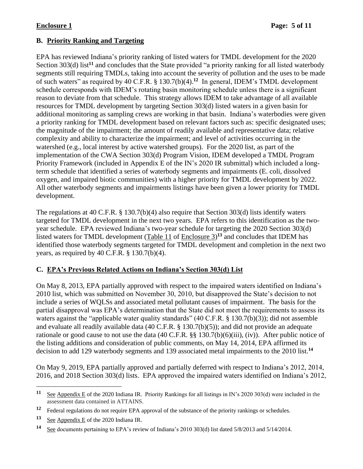# **B. Priority Ranking and Targeting**

EPA has reviewed Indiana's priority ranking of listed waters for TMDL development for the 2020 Section 303(d) list<sup>11</sup> and concludes that the State provided "a priority ranking for all listed waterbody segments still requiring TMDLs, taking into account the severity of pollution and the uses to be made of such waters" as required by 40 C.F.R. § 130.7(b)(4). **12** In general, IDEM's TMDL development schedule corresponds with IDEM's rotating basin monitoring schedule unless there is a significant reason to deviate from that schedule. This strategy allows IDEM to take advantage of all available resources for TMDL development by targeting Section 303(d) listed waters in a given basin for additional monitoring as sampling crews are working in that basin. Indiana's waterbodies were given a priority ranking for TMDL development based on relevant factors such as: specific designated uses; the magnitude of the impairment; the amount of readily available and representative data; relative complexity and ability to characterize the impairment; and level of activities occurring in the watershed (e.g., local interest by active watershed groups). For the 2020 list, as part of the implementation of the CWA Section 303(d) Program Vision, IDEM developed a TMDL Program Priority Framework (included in Appendix E of the IN's 2020 IR submittal) which included a longterm schedule that identified a series of waterbody segments and impairments (E. coli, dissolved oxygen, and impaired biotic communities) with a higher priority for TMDL development by 2022. All other waterbody segments and impairments listings have been given a lower priority for TMDL development.

The regulations at 40 C.F.R. § 130.7(b)(4) also require that Section 303(d) lists identify waters targeted for TMDL development in the next two years. EPA refers to this identification as the twoyear schedule. EPA reviewed Indiana's two-year schedule for targeting the 2020 Section 303(d) listed waters for TMDL development (Table 11 of Enclosure 3)<sup>13</sup> and concludes that IDEM has identified those waterbody segments targeted for TMDL development and completion in the next two years, as required by 40 C.F.R. § 130.7(b)(4).

# **C. EPA's Previous Related Actions on Indiana's Section 303(d) List**

On May 8, 2013, EPA partially approved with respect to the impaired waters identified on Indiana's 2010 list, which was submitted on November 30, 2010, but disapproved the State's decision to not include a series of WQLSs and associated metal pollutant causes of impairment. The basis for the partial disapproval was EPA's determination that the State did not meet the requirements to assess its waters against the "applicable water quality standards" (40 C.F.R. § 130.7(b)(3)); did not assemble and evaluate all readily available data (40 C.F.R. § 130.7(b)(5)); and did not provide an adequate rationale or good cause to not use the data (40 C.F.R. §§ 130.7(b)(6)(iii), (iv)). After public notice of the listing additions and consideration of public comments, on May 14, 2014, EPA affirmed its decision to add 129 waterbody segments and 139 associated metal impairments to the 2010 list.**<sup>14</sup>**

On May 9, 2019, EPA partially approved and partially deferred with respect to Indiana's 2012, 2014, 2016, and 2018 Section 303(d) lists. EPA approved the impaired waters identified on Indiana's 2012,

**<sup>11</sup>** See Appendix E of the 2020 Indiana IR. Priority Rankings for all listings in IN's 2020 303(d) were included in the assessment data contained in ATTAINS.

**<sup>12</sup>** Federal regulations do not require EPA approval of the substance of the priority rankings or schedules.

<sup>13 &</sup>lt;u>See Appendix E</u> of the 2020 Indiana IR.

**<sup>14</sup>** See documents pertaining to EPA's review of Indiana's 2010 303(d) list dated 5/8/2013 and 5/14/2014.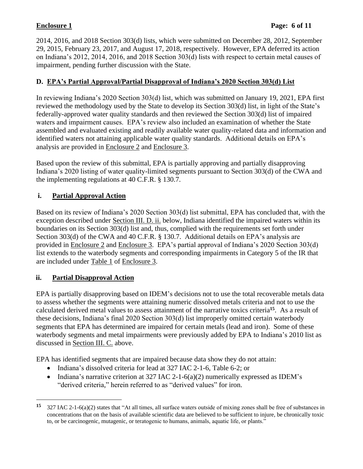2014, 2016, and 2018 Section 303(d) lists, which were submitted on December 28, 2012, September 29, 2015, February 23, 2017, and August 17, 2018, respectively. However, EPA deferred its action on Indiana's 2012, 2014, 2016, and 2018 Section 303(d) lists with respect to certain metal causes of impairment, pending further discussion with the State.

### **D. EPA's Partial Approval/Partial Disapproval of Indiana's 2020 Section 303(d) List**

In reviewing Indiana's 2020 Section 303(d) list, which was submitted on January 19, 2021, EPA first reviewed the methodology used by the State to develop its Section 303(d) list, in light of the State's federally-approved water quality standards and then reviewed the Section 303(d) list of impaired waters and impairment causes. EPA's review also included an examination of whether the State assembled and evaluated existing and readily available water quality-related data and information and identified waters not attaining applicable water quality standards. Additional details on EPA's analysis are provided in Enclosure 2 and Enclosure 3.

Based upon the review of this submittal, EPA is partially approving and partially disapproving Indiana's 2020 listing of water quality-limited segments pursuant to Section 303(d) of the CWA and the implementing regulations at 40 C.F.R. § 130.7.

# **i. Partial Approval Action**

Based on its review of Indiana's 2020 Section 303(d) list submittal, EPA has concluded that, with the exception described under Section III. D. ii. below, Indiana identified the impaired waters within its boundaries on its Section 303(d) list and, thus, complied with the requirements set forth under Section 303(d) of the CWA and 40 C.F.R. § 130.7. Additional details on EPA's analysis are provided in Enclosure 2 and Enclosure 3. EPA's partial approval of Indiana's 2020 Section 303(d) list extends to the waterbody segments and corresponding impairments in Category 5 of the IR that are included under Table 1 of Enclosure 3.

#### **ii. Partial Disapproval Action**

EPA is partially disapproving based on IDEM's decisions not to use the total recoverable metals data to assess whether the segments were attaining numeric dissolved metals criteria and not to use the calculated derived metal values to assess attainment of the narrative toxics criteria**<sup>15</sup>**. As a result of these decisions, Indiana's final 2020 Section 303(d) list improperly omitted certain waterbody segments that EPA has determined are impaired for certain metals (lead and iron). Some of these waterbody segments and metal impairments were previously added by EPA to Indiana's 2010 list as discussed in Section III. C. above.

EPA has identified segments that are impaired because data show they do not attain:

- Indiana's dissolved criteria for lead at 327 IAC 2-1-6, Table 6-2; or
- Indiana's narrative criterion at 327 IAC 2-1-6(a)(2) numerically expressed as IDEM's "derived criteria," herein referred to as "derived values" for iron.

**<sup>15</sup>** 327 IAC 2-1-6(a)(2) states that "At all times, all surface waters outside of mixing zones shall be free of substances in concentrations that on the basis of available scientific data are believed to be sufficient to injure, be chronically toxic to, or be carcinogenic, mutagenic, or teratogenic to humans, animals, aquatic life, or plants."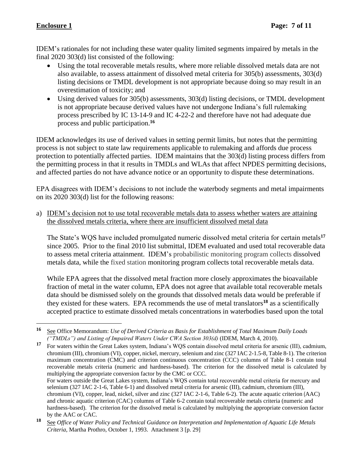IDEM's rationales for not including these water quality limited segments impaired by metals in the final 2020 303(d) list consisted of the following:

- Using the total recoverable metals results, where more reliable dissolved metals data are not also available, to assess attainment of dissolved metal criteria for 305(b) assessments, 303(d) listing decisions or TMDL development is not appropriate because doing so may result in an overestimation of toxicity; and
- Using derived values for 305(b) assessments, 303(d) listing decisions, or TMDL development is not appropriate because derived values have not undergone Indiana's full rulemaking process prescribed by IC 13-14-9 and IC 4-22-2 and therefore have not had adequate due process and public participation.**<sup>16</sup>**

IDEM acknowledges its use of derived values in setting permit limits, but notes that the permitting process is not subject to state law requirements applicable to rulemaking and affords due process protection to potentially affected parties. IDEM maintains that the 303(d) listing process differs from the permitting process in that it results in TMDLs and WLAs that affect NPDES permitting decisions, and affected parties do not have advance notice or an opportunity to dispute these determinations.

EPA disagrees with IDEM's decisions to not include the waterbody segments and metal impairments on its 2020 303(d) list for the following reasons:

a) IDEM's decision not to use total recoverable metals data to assess whether waters are attaining the dissolved metals criteria, where there are insufficient dissolved metal data

The State's WQS have included promulgated numeric dissolved metal criteria for certain metals**<sup>17</sup>** since 2005. Prior to the final 2010 list submittal, IDEM evaluated and used total recoverable data to assess metal criteria attainment. IDEM's probabilistic monitoring program collects dissolved metals data, while the fixed station monitoring program collects total recoverable metals data.

While EPA agrees that the dissolved metal fraction more closely approximates the bioavailable fraction of metal in the water column, EPA does not agree that available total recoverable metals data should be dismissed solely on the grounds that dissolved metals data would be preferable if they existed for these waters. EPA recommends the use of metal translators **<sup>18</sup>** as a scientifically accepted practice to estimate dissolved metals concentrations in waterbodies based upon the total

**<sup>17</sup>** For waters within the Great Lakes system, Indiana's WQS contain dissolved metal criteria for arsenic (III), cadmium, chromium (III), chromium (VI), copper, nickel, mercury, selenium and zinc (327 IAC 2-1.5-8, Table 8-1). The criterion maximum concentration (CMC) and criterion continuous concentration (CCC) columns of Table 8-1 contain total recoverable metals criteria (numeric and hardness-based). The criterion for the dissolved metal is calculated by multiplying the appropriate conversion factor by the CMC or CCC. For waters outside the Great Lakes system, Indiana's WQS contain total recoverable metal criteria for mercury and selenium (327 IAC 2-1-6, Table 6-1) and dissolved metal criteria for arsenic (III), cadmium, chromium (III), chromium (VI), copper, lead, nickel, silver and zinc (327 IAC 2-1-6, Table 6-2). The acute aquatic criterion (AAC)

and chronic aquatic criterion (CAC) columns of Table 6-2 contain total recoverable metals criteria (numeric and hardness-based). The criterion for the dissolved metal is calculated by multiplying the appropriate conversion factor by the AAC or CAC.

**<sup>16</sup>** See Office Memorandum: *Use of Derived Criteria as Basis for Establishment of Total Maximum Daily Loads ("TMDLs") and Listing of Impaired Waters Under CWA Section 303(d)* (IDEM, March 4, 2010).

**<sup>18</sup>** See *Office of Water Policy and Technical Guidance on Interpretation and Implementation of Aquatic Life Metals Criteria*, Martha Prothro, October 1, 1993. Attachment 3 [p. 29]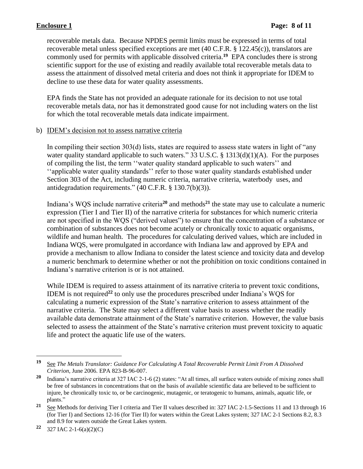recoverable metals data. Because NPDES permit limits must be expressed in terms of total recoverable metal unless specified exceptions are met (40 C.F.R. § 122.45(c)), translators are commonly used for permits with applicable dissolved criteria. **19** EPA concludes there is strong scientific support for the use of existing and readily available total recoverable metals data to assess the attainment of dissolved metal criteria and does not think it appropriate for IDEM to decline to use these data for water quality assessments.

EPA finds the State has not provided an adequate rationale for its decision to not use total recoverable metals data, nor has it demonstrated good cause for not including waters on the list for which the total recoverable metals data indicate impairment.

#### b) IDEM's decision not to assess narrative criteria

In compiling their section 303(d) lists, states are required to assess state waters in light of "any water quality standard applicable to such waters." 33 U.S.C. §  $1313(d)(1)(A)$ . For the purposes of compiling the list, the term ''water quality standard applicable to such waters'' and ''applicable water quality standards'' refer to those water quality standards established under Section 303 of the Act, including numeric criteria, narrative criteria, waterbody uses, and antidegradation requirements." (40 C.F.R. § 130.7(b)(3)).

Indiana's WQS include narrative criteria**<sup>20</sup>** and methods**<sup>21</sup>** the state may use to calculate a numeric expression (Tier I and Tier II) of the narrative criteria for substances for which numeric criteria are not specified in the WQS ("derived values") to ensure that the concentration of a substance or combination of substances does not become acutely or chronically toxic to aquatic organisms, wildlife and human health. The procedures for calculating derived values, which are included in Indiana WQS, were promulgated in accordance with Indiana law and approved by EPA and provide a mechanism to allow Indiana to consider the latest science and toxicity data and develop a numeric benchmark to determine whether or not the prohibition on toxic conditions contained in Indiana's narrative criterion is or is not attained.

While IDEM is required to assess attainment of its narrative criteria to prevent toxic conditions, IDEM is not required**<sup>22</sup>** to only use the procedures prescribed under Indiana's WQS for calculating a numeric expression of the State's narrative criterion to assess attainment of the narrative criteria. The State may select a different value basis to assess whether the readily available data demonstrate attainment of the State's narrative criterion. However, the value basis selected to assess the attainment of the State's narrative criterion must prevent toxicity to aquatic life and protect the aquatic life use of the waters.

**<sup>22</sup>** 327 IAC 2-1-6(a)(2)(C)

**<sup>19</sup>** See *The Metals Translator: Guidance For Calculating A Total Recoverable Permit Limit From A Dissolved Criterion*, June 2006. EPA 823-B-96-007.

**<sup>20</sup>** Indiana's narrative criteria at 327 IAC 2-1-6 (2) states: "At all times, all surface waters outside of mixing zones shall be free of substances in concentrations that on the basis of available scientific data are believed to be sufficient to injure, be chronically toxic to, or be carcinogenic, mutagenic, or teratogenic to humans, animals, aquatic life, or plants."

**<sup>21</sup>** See Methods for deriving Tier I criteria and Tier II values described in: 327 IAC 2-1.5-Sections 11 and 13 through 16 (for Tier I) and Sections 12-16 (for Tier II) for waters within the Great Lakes system; 327 IAC 2-1 Sections 8.2, 8.3 and 8.9 for waters outside the Great Lakes system.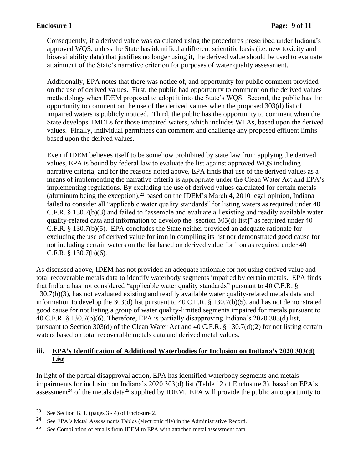Consequently, if a derived value was calculated using the procedures prescribed under Indiana's approved WQS, unless the State has identified a different scientific basis (i.e. new toxicity and bioavailability data) that justifies no longer using it, the derived value should be used to evaluate attainment of the State's narrative criterion for purposes of water quality assessment.

Additionally, EPA notes that there was notice of, and opportunity for public comment provided on the use of derived values. First, the public had opportunity to comment on the derived values methodology when IDEM proposed to adopt it into the State's WQS. Second, the public has the opportunity to comment on the use of the derived values when the proposed 303(d) list of impaired waters is publicly noticed. Third, the public has the opportunity to comment when the State develops TMDLs for those impaired waters, which includes WLAs, based upon the derived values. Finally, individual permittees can comment and challenge any proposed effluent limits based upon the derived values.

Even if IDEM believes itself to be somehow prohibited by state law from applying the derived values, EPA is bound by federal law to evaluate the list against approved WQS including narrative criteria, and for the reasons noted above, EPA finds that use of the derived values as a means of implementing the narrative criteria is appropriate under the Clean Water Act and EPA's implementing regulations. By excluding the use of derived values calculated for certain metals (aluminum being the exception), **<sup>23</sup>** based on the IDEM's March 4, 2010 legal opinion, Indiana failed to consider all "applicable water quality standards" for listing waters as required under 40 C.F.R. § 130.7(b)(3) and failed to "assemble and evaluate all existing and readily available water quality-related data and information to develop the [section 303(d) list]" as required under 40 C.F.R. § 130.7(b)(5). EPA concludes the State neither provided an adequate rationale for excluding the use of derived value for iron in compiling its list nor demonstrated good cause for not including certain waters on the list based on derived value for iron as required under 40 C.F.R.  $§$  130.7(b)(6).

As discussed above, IDEM has not provided an adequate rationale for not using derived value and total recoverable metals data to identify waterbody segments impaired by certain metals. EPA finds that Indiana has not considered "applicable water quality standards" pursuant to 40 C.F.R. § 130.7(b)(3), has not evaluated existing and readily available water quality-related metals data and information to develop the 303(d) list pursuant to 40 C.F.R. § 130.7(b)(5), and has not demonstrated good cause for not listing a group of water quality-limited segments impaired for metals pursuant to 40 C.F.R. § 130.7(b)(6). Therefore, EPA is partially disapproving Indiana's 2020 303(d) list, pursuant to Section 303(d) of the Clean Water Act and 40 C.F.R. § 130.7(d)(2) for not listing certain waters based on total recoverable metals data and derived metal values.

#### **iii. EPA's Identification of Additional Waterbodies for Inclusion on Indiana's 2020 303(d) List**

In light of the partial disapproval action, EPA has identified waterbody segments and metals impairments for inclusion on Indiana's 2020 303(d) list (Table 12 of Enclosure 3), based on EPA's assessment**<sup>24</sup>** of the metals data**<sup>25</sup>** supplied by IDEM. EPA will provide the public an opportunity to

**<sup>23</sup>** See Section B. 1. (pages 3 - 4) of Enclosure 2.

**<sup>24</sup>** See EPA's Metal Assessments Tables (electronic file) in the Administrative Record.

**<sup>25</sup>** See Compilation of emails from IDEM to EPA with attached metal assessment data.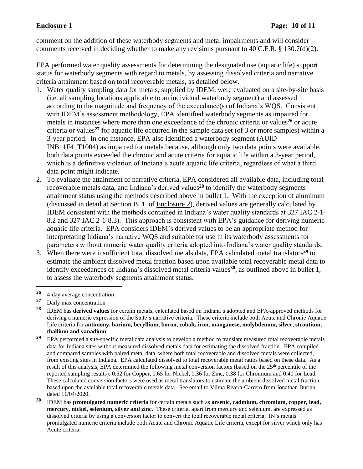comment on the addition of these waterbody segments and metal impairments and will consider comments received in deciding whether to make any revisions pursuant to 40 C.F.R. § 130.7(d)(2).

EPA performed water quality assessments for determining the designated use (aquatic life) support status for waterbody segments with regard to metals, by assessing dissolved criteria and narrative criteria attainment based on total recoverable metals, as detailed below.

- 1. Water quality sampling data for metals, supplied by IDEM, were evaluated on a site-by-site basis (i.e. all sampling locations applicable to an individual waterbody segment) and assessed according to the magnitude and frequency of the exceedance(s) of Indiana's WQS. Consistent with IDEM's assessment methodology, EPA identified waterbody segments as impaired for metals in instances where more than one exceedance of the chronic criteria or values**<sup>26</sup>** or acute criteria or values**<sup>27</sup>** for aquatic life occurred in the sample data set (of 3 or more samples) within a 3-year period. In one instance, EPA also identified a waterbody segment (AUID INB11F4\_T1004) as impaired for metals because, although only two data points were available, both data points exceeded the chronic and acute criteria for aquatic life within a 3-year period, which is a definitive violation of Indiana's acute aquatic life criteria, regardless of what a third data point might indicate.
- 2. To evaluate the attainment of narrative criteria, EPA considered all available data, including total recoverable metals data, and Indiana's derived values **<sup>28</sup>** to identify the waterbody segments attainment status using the methods described above in bullet 1. With the exception of aluminum (discussed in detail at Section B. 1. of Enclosure 2), derived values are generally calculated by IDEM consistent with the methods contained in Indiana's water quality standards at 327 IAC 2-1- 8.2 and 327 IAC 2-1-8.3). This approach is consistent with EPA's guidance for deriving numeric aquatic life criteria. EPA considers IDEM's derived values to be an appropriate method for interpretating Indiana's narrative WQS and suitable for use in its waterbody assessments for parameters without numeric water quality criteria adopted into Indiana's water quality standards.
- 3. When there were insufficient total dissolved metals data, EPA calculated metal translators**<sup>29</sup>** to estimate the ambient dissolved metal fraction based upon available total recoverable metal data to identify exceedances of Indiana's dissolved metal criteria values<sup>30</sup>, as outlined above in <u>bullet 1</u>, to assess the waterbody segments attainment status.

<sup>26 4-</sup>day average concentration

**<sup>27</sup>** Daily max concentration

**<sup>28</sup>** IDEM has **derived values** for certain metals, calculated based on Indiana's adopted and EPA-approved methods for deriving a numeric expression of the State's narrative criteria. These criteria include both Acute and Chronic Aquatic Life criteria for **antimony, barium, beryllium, boron, cobalt, iron, manganese, molybdenum, silver, strontium, thallium and vanadium**.

**<sup>29</sup>** EPA performed a site-specific metal data analysis to develop a method to translate measured total recoverable metals data for Indiana sites without measured dissolved metals data for estimating the dissolved fraction. EPA compiled and compared samples with paired metal data, where both total recoverable and dissolved metals were collected, from existing sites in Indiana. EPA calculated dissolved to total recoverable metal ratios based on these data. As a result of this analysis, EPA determined the following metal conversion factors (based on the 25<sup>th</sup> percentile of the reported sampling results): 0.52 for Copper, 0.65 for Nickel, 0.36 for Zinc, 0.38 for Chromium and 0.40 for Lead. These calculated conversion factors were used as metal translators to estimate the ambient dissolved metal fraction based upon the available total recoverable metals data. See email to Vilma Rivera-Carrero from Jonathan Burian dated 11/04/2020.

**<sup>30</sup>** IDEM has **promulgated numeric criteria** for certain metals such as **arsenic, cadmium, chromium, copper, lead, mercury, nickel, selenium, silver and zinc**. These criteria, apart from mercury and selenium, are expressed as dissolved criteria by using a conversion factor to convert the total recoverable metal criteria. IN's metals promulgated numeric criteria include both Acute and Chronic Aquatic Life criteria, except for silver which only has Acute criteria.